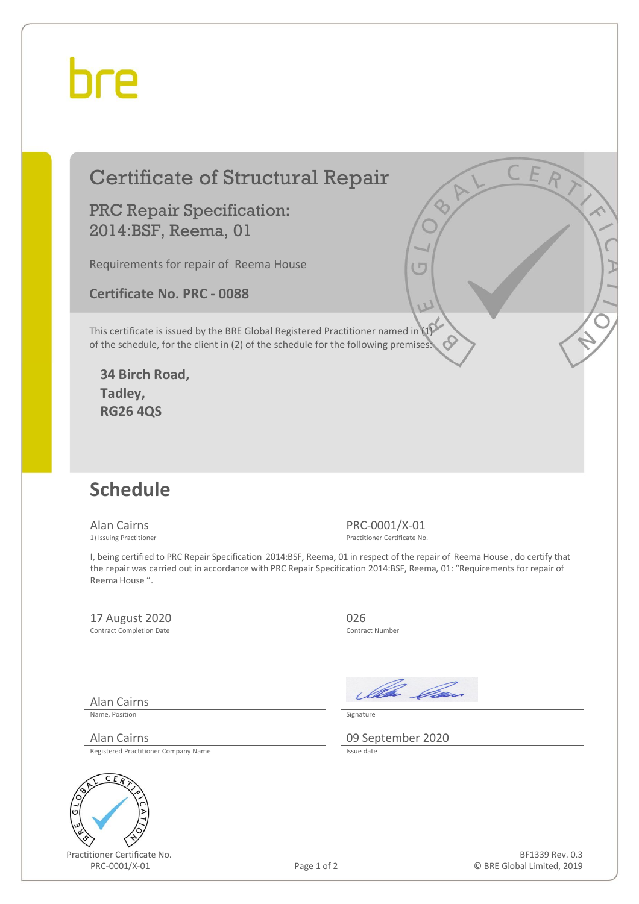## hre

### Certificate of Structural Repair

PRC Repair Specification: 2014:BSF, Reema, 01

Requirements for repair of Reema House

**Certificate No. PRC - 0088** 

This certificate is issued by the BRE Global Registered Practitioner named in (1) of the schedule, for the client in (2) of the schedule for the following premises:

**34 Birch Road, Tadley, RG26 4QS** 

#### **Schedule**

Alan Cairns PRC-0001/X-01<br>
1) Issuing Practitioner<br>
Practitioner Certificate No

Practitioner Certificate No.

I, being certified to PRC Repair Specification 2014:BSF, Reema, 01 in respect of the repair of Reema House , do certify that the repair was carried out in accordance with PRC Repair Specification 2014:BSF, Reema, 01: "Requirements for repair of Reema House ".

#### 17 August 2020<br>
Contract Completion Date

Contract Completion Date

Alan Cairns

Ila *Da*u

Name, Position Signature

Alan Cairns 09 September 2020

Registered Practitioner Company Name



Practitioner Certificate No. PRC-0001/X-01 Page 1 of 2